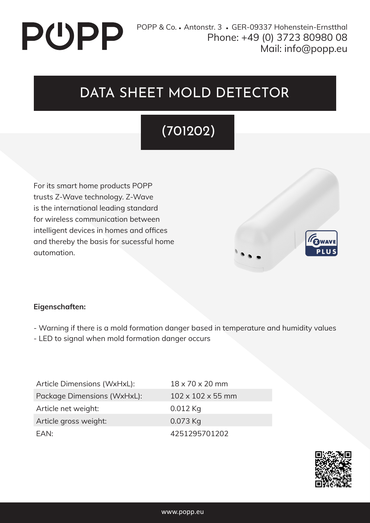# PUPP

## DATA SHEET MOLD DETECTOR

## (701202)

For its smart home products POPP trusts Z-Wave technology. Z-Wave is the international leading standard for wireless communication between intelligent devices in homes and offices and thereby the basis for sucessful home automation.



#### **Eigenschaften:**

- Warning if there is a mold formation danger based in temperature and humidity values
- LED to signal when mold formation danger occurs

Article Dimensions (WxHxL): 18 x 70 x 20 mm Package Dimensions (WxHxL): 102 x 102 x 55 mm Article net weight: 0.012 Kg Article gross weight: 0.073 Kg EAN: 4251295701202